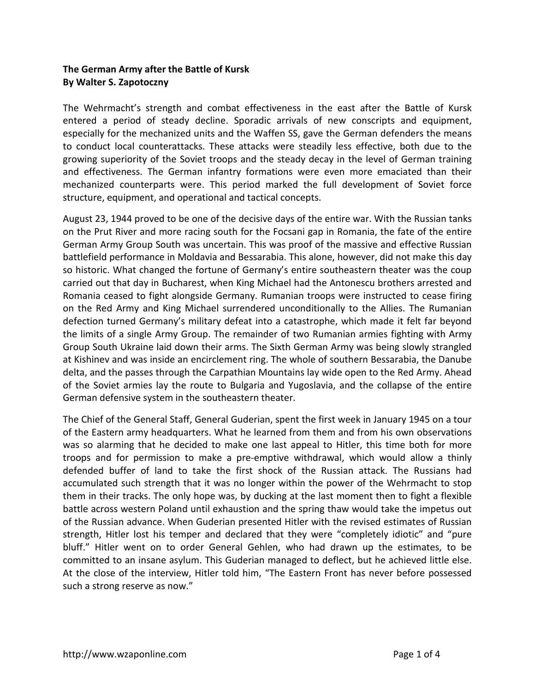## **The German Army after the Battle of Kursk By Walter S. Zapotoczny**

The Wehrmacht's strength and combat effectiveness in the east after the Battle of Kursk entered a period of steady decline. Sporadic arrivals of new conscripts and equipment, especially for the mechanized units and the Waffen SS, gave the German defenders the means to conduct local counterattacks. These attacks were steadily less effective, both due to the growing superiority of the Soviet troops and the steady decay in the level of German training and effectiveness. The German infantry formations were even more emaciated than their mechanized counterparts were. This period marked the full development of Soviet force structure, equipment, and operational and tactical concepts.

August 23, 1944 proved to be one of the decisive days of the entire war. With the Russian tanks on the Prut River and more racing south for the Focsani gap in Romania, the fate of the entire German Army Group South was uncertain. This was proof of the massive and effective Russian battlefield performance in Moldavia and Bessarabia. This alone, however, did not make this day so historic. What changed the fortune of Germany's entire southeastern theater was the coup carried out that day in Bucharest, when King Michael had the Antonescu brothers arrested and Romania ceased to fight alongside Germany. Rumanian troops were instructed to cease firing on the Red Army and King Michael surrendered unconditionally to the Allies. The Rumanian defection turned Germany's military defeat into a catastrophe, which made it felt far beyond the limits of a single Army Group. The remainder of two Rumanian armies fighting with Army Group South Ukraine laid down their arms. The Sixth German Army was being slowly strangled at Kishinev and was inside an encirclement ring. The whole of southern Bessarabia, the Danube delta, and the passes through the Carpathian Mountains lay wide open to the Red Army. Ahead of the Soviet armies lay the route to Bulgaria and Yugoslavia, and the collapse of the entire German defensive system in the southeastern theater.

The Chief of the General Staff, General Guderian, spent the first week in January 1945 on a tour of the Eastern army headquarters. What he learned from them and from his own observations was so alarming that he decided to make one last appeal to Hitler, this time both for more troops and for permission to make a pre-emptive withdrawal, which would allow a thinly defended buffer of land to take the first shock of the Russian attack. The Russians had accumulated such strength that it was no longer within the power of the Wehrmacht to stop them in their tracks. The only hope was, by ducking at the last moment then to fight a flexible battle across western Poland until exhaustion and the spring thaw would take the impetus out of the Russian advance. When Guderian presented Hitler with the revised estimates of Russian strength, Hitler lost his temper and declared that they were "completely idiotic" and "pure bluff." Hitler went on to order General Gehlen, who had drawn up the estimates, to be committed to an insane asylum. This Guderian managed to deflect, but he achieved little else. At the close of the interview, Hitler told him, "The Eastern Front has never before possessed such a strong reserve as now."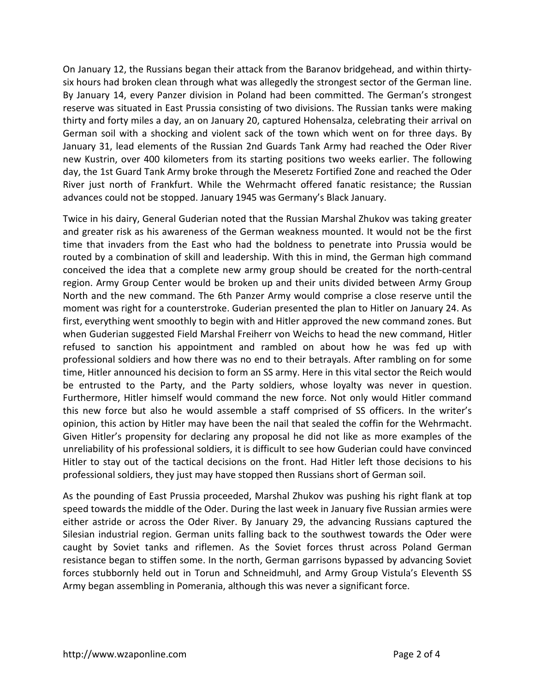On January 12, the Russians began their attack from the Baranov bridgehead, and within thirtysix hours had broken clean through what was allegedly the strongest sector of the German line. By January 14, every Panzer division in Poland had been committed. The German's strongest reserve was situated in East Prussia consisting of two divisions. The Russian tanks were making thirty and forty miles a day, an on January 20, captured Hohensalza, celebrating their arrival on German soil with a shocking and violent sack of the town which went on for three days. By January 31, lead elements of the Russian 2nd Guards Tank Army had reached the Oder River new Kustrin, over 400 kilometers from its starting positions two weeks earlier. The following day, the 1st Guard Tank Army broke through the Meseretz Fortified Zone and reached the Oder River just north of Frankfurt. While the Wehrmacht offered fanatic resistance; the Russian advances could not be stopped. January 1945 was Germany's Black January.

Twice in his dairy, General Guderian noted that the Russian Marshal Zhukov was taking greater and greater risk as his awareness of the German weakness mounted. It would not be the first time that invaders from the East who had the boldness to penetrate into Prussia would be routed by a combination of skill and leadership. With this in mind, the German high command conceived the idea that a complete new army group should be created for the north-central region. Army Group Center would be broken up and their units divided between Army Group North and the new command. The 6th Panzer Army would comprise a close reserve until the moment was right for a counterstroke. Guderian presented the plan to Hitler on January 24. As first, everything went smoothly to begin with and Hitler approved the new command zones. But when Guderian suggested Field Marshal Freiherr von Weichs to head the new command, Hitler refused to sanction his appointment and rambled on about how he was fed up with professional soldiers and how there was no end to their betrayals. After rambling on for some time, Hitler announced his decision to form an SS army. Here in this vital sector the Reich would be entrusted to the Party, and the Party soldiers, whose loyalty was never in question. Furthermore, Hitler himself would command the new force. Not only would Hitler command this new force but also he would assemble a staff comprised of SS officers. In the writer's opinion, this action by Hitler may have been the nail that sealed the coffin for the Wehrmacht. Given Hitler's propensity for declaring any proposal he did not like as more examples of the unreliability of his professional soldiers, it is difficult to see how Guderian could have convinced Hitler to stay out of the tactical decisions on the front. Had Hitler left those decisions to his professional soldiers, they just may have stopped then Russians short of German soil.

As the pounding of East Prussia proceeded, Marshal Zhukov was pushing his right flank at top speed towards the middle of the Oder. During the last week in January five Russian armies were either astride or across the Oder River. By January 29, the advancing Russians captured the Silesian industrial region. German units falling back to the southwest towards the Oder were caught by Soviet tanks and riflemen. As the Soviet forces thrust across Poland German resistance began to stiffen some. In the north, German garrisons bypassed by advancing Soviet forces stubbornly held out in Torun and Schneidmuhl, and Army Group Vistula's Eleventh SS Army began assembling in Pomerania, although this was never a significant force.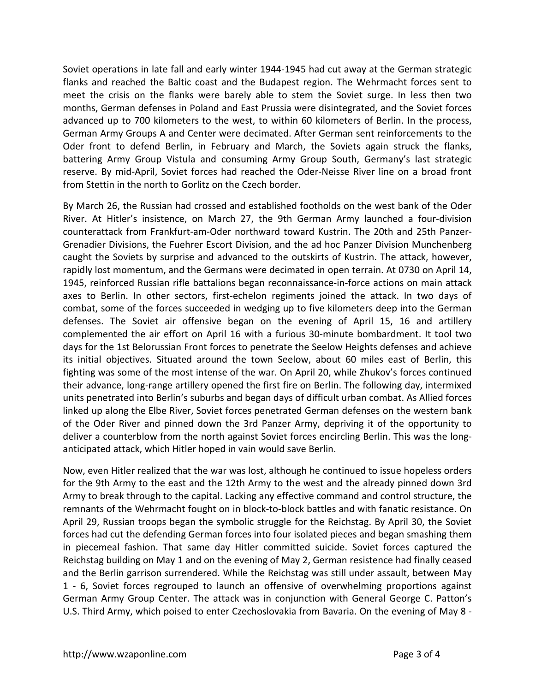Soviet operations in late fall and early winter 1944-1945 had cut away at the German strategic flanks and reached the Baltic coast and the Budapest region. The Wehrmacht forces sent to meet the crisis on the flanks were barely able to stem the Soviet surge. In less then two months, German defenses in Poland and East Prussia were disintegrated, and the Soviet forces advanced up to 700 kilometers to the west, to within 60 kilometers of Berlin. In the process, German Army Groups A and Center were decimated. After German sent reinforcements to the Oder front to defend Berlin, in February and March, the Soviets again struck the flanks, battering Army Group Vistula and consuming Army Group South, Germany's last strategic reserve. By mid-April, Soviet forces had reached the Oder-Neisse River line on a broad front from Stettin in the north to Gorlitz on the Czech border.

By March 26, the Russian had crossed and established footholds on the west bank of the Oder River. At Hitler's insistence, on March 27, the 9th German Army launched a four-division counterattack from Frankfurt-am-Oder northward toward Kustrin. The 20th and 25th Panzer-Grenadier Divisions, the Fuehrer Escort Division, and the ad hoc Panzer Division Munchenberg caught the Soviets by surprise and advanced to the outskirts of Kustrin. The attack, however, rapidly lost momentum, and the Germans were decimated in open terrain. At 0730 on April 14, 1945, reinforced Russian rifle battalions began reconnaissance-in-force actions on main attack axes to Berlin. In other sectors, first-echelon regiments joined the attack. In two days of combat, some of the forces succeeded in wedging up to five kilometers deep into the German defenses. The Soviet air offensive began on the evening of April 15, 16 and artillery complemented the air effort on April 16 with a furious 30-minute bombardment. It tool two days for the 1st Belorussian Front forces to penetrate the Seelow Heights defenses and achieve its initial objectives. Situated around the town Seelow, about 60 miles east of Berlin, this fighting was some of the most intense of the war. On April 20, while Zhukov's forces continued their advance, long-range artillery opened the first fire on Berlin. The following day, intermixed units penetrated into Berlin's suburbs and began days of difficult urban combat. As Allied forces linked up along the Elbe River, Soviet forces penetrated German defenses on the western bank of the Oder River and pinned down the 3rd Panzer Army, depriving it of the opportunity to deliver a counterblow from the north against Soviet forces encircling Berlin. This was the longanticipated attack, which Hitler hoped in vain would save Berlin.

Now, even Hitler realized that the war was lost, although he continued to issue hopeless orders for the 9th Army to the east and the 12th Army to the west and the already pinned down 3rd Army to break through to the capital. Lacking any effective command and control structure, the remnants of the Wehrmacht fought on in block-to-block battles and with fanatic resistance. On April 29, Russian troops began the symbolic struggle for the Reichstag. By April 30, the Soviet forces had cut the defending German forces into four isolated pieces and began smashing them in piecemeal fashion. That same day Hitler committed suicide. Soviet forces captured the Reichstag building on May 1 and on the evening of May 2, German resistence had finally ceased and the Berlin garrison surrendered. While the Reichstag was still under assault, between May 1 - 6, Soviet forces regrouped to launch an offensive of overwhelming proportions against German Army Group Center. The attack was in conjunction with General George C. Patton's U.S. Third Army, which poised to enter Czechoslovakia from Bavaria. On the evening of May 8 -